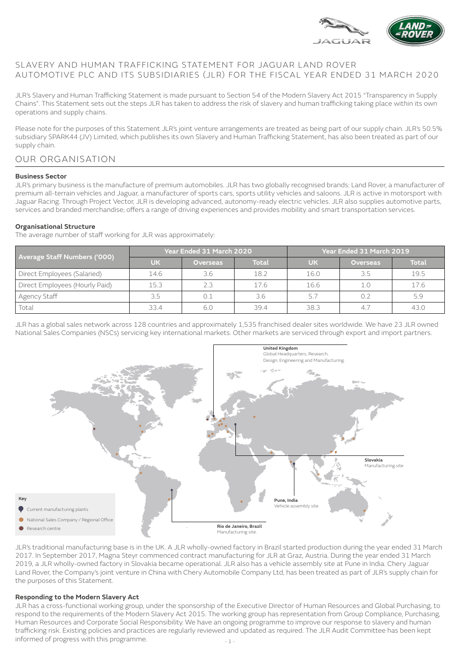

# SLAVERY AND HUMAN TRAFFICKING STATEMENT FOR JAGUAR LAND ROVER AUTOMOTIVE PLC AND ITS SUBSIDIARIES (JLR) FOR THE FISCAL YEAR ENDED 31 MARCH 2020

JLR's Slavery and Human Trafficking Statement is made pursuant to Section 54 of the Modern Slavery Act 2015 "Transparency in Supply Chains". This Statement sets out the steps JLR has taken to address the risk of slavery and human trafficking taking place within its own operations and supply chains.

Please note for the purposes of this Statement JLR's joint venture arrangements are treated as being part of our supply chain. JLR's 50.5% subsidiary SPARK44 (JV) Limited, which publishes its own Slavery and Human Trafficking Statement, has also been treated as part of our supply chain.

# OUR ORGANISATION

#### **Business Sector**

JLR's primary business is the manufacture of premium automobiles. JLR has two globally recognised brands: Land Rover, a manufacturer of premium all-terrain vehicles and Jaguar, a manufacturer of sports cars, sports utility vehicles and saloons. JLR is active in motorsport with Jaguar Racing. Through Project Vector, JLR is developing advanced, autonomy-ready electric vehicles. JLR also supplies automotive parts, services and branded merchandise; offers a range of driving experiences and provides mobility and smart transportation services.

#### **Organisational Structure**

The average number of staff working for JLR was approximately:

| <b>Average Staff Numbers ('000)</b> | Year Ended 31 March 2020 |                 |              | Year Ended 31 March 2019 |                 |              |
|-------------------------------------|--------------------------|-----------------|--------------|--------------------------|-----------------|--------------|
|                                     | <b>UK</b>                | <b>Overseas</b> | <b>Total</b> | <b>UK</b>                | <b>Overseas</b> | <b>Total</b> |
| Direct Employees (Salaried)         | 14.6                     | 3.6             | 18.2         | 16.0                     | 3.5             | 19.5         |
| Direct Employees (Hourly Paid)      | 15.3                     | 2.3             | 17.6         | 16.6                     | 1.0             | 17.6         |
| ' Agency Staff                      | 3.5                      |                 | 3.6          | 5.7                      |                 | 5.9          |
| Total                               | 33.4                     | 6.0             | 39.4         | 38.3                     |                 | 43.0         |

JLR has a global sales network across 128 countries and approximately 1,535 franchised dealer sites worldwide. We have 23 JLR owned National Sales Companies (NSCs) servicing key international markets. Other markets are serviced through export and import partners.



JLR's traditional manufacturing base is in the UK. A JLR wholly-owned factory in Brazil started production during the year ended 31 March 2017. In September 2017, Magna Steyr commenced contract manufacturing for JLR at Graz, Austria. During the year ended 31 March 2019, a JLR wholly-owned factory in Slovakia became operational. JLR also has a vehicle assembly site at Pune in India. Chery Jaguar Land Rover, the Company's joint venture in China with Chery Automobile Company Ltd, has been treated as part of JLR's supply chain for the purposes of this Statement.

#### **Responding to the Modern Slavery Act**

JLR has a cross-functional working group, under the sponsorship of the Executive Director of Human Resources and Global Purchasing, to respond to the requirements of the Modern Slavery Act 2015. The working group has representation from Group Compliance, Purchasing, Human Resources and Corporate Social Responsibility. We have an ongoing programme to improve our response to slavery and human trafficking risk. Existing policies and practices are regularly reviewed and updated as required. The JLR Audit Committee has been kept informed of progress with this programme.  $\frac{1}{1}$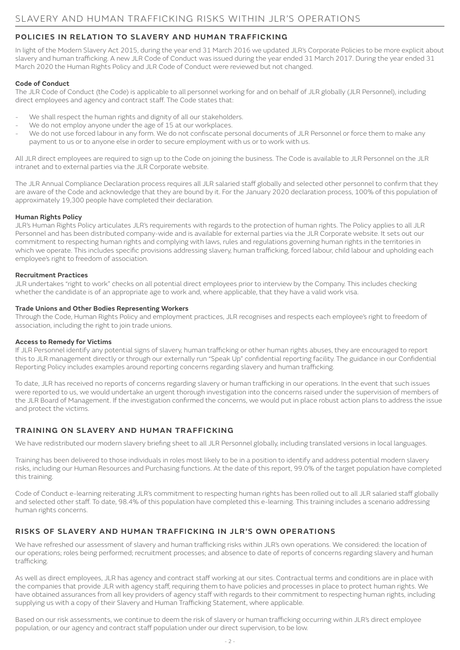# **POLICIES IN RELATION TO SLAVERY AND HUMAN TRAFFICKING**

In light of the Modern Slavery Act 2015, during the year end 31 March 2016 we updated JLR's Corporate Policies to be more explicit about slavery and human trafficking. A new JLR Code of Conduct was issued during the year ended 31 March 2017. During the year ended 31 March 2020 the Human Rights Policy and JLR Code of Conduct were reviewed but not changed.

#### **Code of Conduct**

The JLR Code of Conduct (the Code) is applicable to all personnel working for and on behalf of JLR globally (JLR Personnel), including direct employees and agency and contract staff. The Code states that:

- We shall respect the human rights and dignity of all our stakeholders.
- We do not employ anyone under the age of 15 at our workplaces.
- We do not use forced labour in any form. We do not confiscate personal documents of JLR Personnel or force them to make any payment to us or to anyone else in order to secure employment with us or to work with us.

All JLR direct employees are required to sign up to the Code on joining the business. The Code is available to JLR Personnel on the JLR intranet and to external parties via the JLR Corporate website.

The JLR Annual Compliance Declaration process requires all JLR salaried staff globally and selected other personnel to confirm that they are aware of the Code and acknowledge that they are bound by it. For the January 2020 declaration process, 100% of this population of approximately 19,300 people have completed their declaration.

#### **Human Rights Policy**

JLR's Human Rights Policy articulates JLR's requirements with regards to the protection of human rights. The Policy applies to all JLR Personnel and has been distributed company-wide and is available for external parties via the JLR Corporate website. It sets out our commitment to respecting human rights and complying with laws, rules and regulations governing human rights in the territories in which we operate. This includes specific provisions addressing slavery, human trafficking, forced labour, child labour and upholding each employee's right to freedom of association.

#### **Recruitment Practices**

JLR undertakes "right to work" checks on all potential direct employees prior to interview by the Company. This includes checking whether the candidate is of an appropriate age to work and, where applicable, that they have a valid work visa.

#### **Trade Unions and Other Bodies Representing Workers**

Through the Code, Human Rights Policy and employment practices, JLR recognises and respects each employee's right to freedom of association, including the right to join trade unions.

#### **Access to Remedy for Victims**

If JLR Personnel identify any potential signs of slavery, human trafficking or other human rights abuses, they are encouraged to report this to JLR management directly or through our externally run "Speak Up" confidential reporting facility. The guidance in our Confidential Reporting Policy includes examples around reporting concerns regarding slavery and human trafficking.

To date, JLR has received no reports of concerns regarding slavery or human trafficking in our operations. In the event that such issues were reported to us, we would undertake an urgent thorough investigation into the concerns raised under the supervision of members of the JLR Board of Management. If the investigation confirmed the concerns, we would put in place robust action plans to address the issue and protect the victims.

# **TRAINING ON SLAVERY AND HUMAN TRAFFICKING**

We have redistributed our modern slavery briefing sheet to all JLR Personnel globally, including translated versions in local languages.

Training has been delivered to those individuals in roles most likely to be in a position to identify and address potential modern slavery risks, including our Human Resources and Purchasing functions. At the date of this report, 99.0% of the target population have completed this training.

Code of Conduct e-learning reiterating JLR's commitment to respecting human rights has been rolled out to all JLR salaried staff globally and selected other staff. To date, 98.4% of this population have completed this e-learning. This training includes a scenario addressing human rights concerns.

## **RISKS OF SLAVERY AND HUMAN TRAFFICKING IN JLR'S OWN OPERATIONS**

We have refreshed our assessment of slavery and human trafficking risks within JLR's own operations. We considered: the location of our operations; roles being performed; recruitment processes; and absence to date of reports of concerns regarding slavery and human trafficking.

As well as direct employees, JLR has agency and contract staff working at our sites. Contractual terms and conditions are in place with the companies that provide JLR with agency staff, requiring them to have policies and processes in place to protect human rights. We have obtained assurances from all key providers of agency staff with regards to their commitment to respecting human rights, including supplying us with a copy of their Slavery and Human Trafficking Statement, where applicable.

Based on our risk assessments, we continue to deem the risk of slavery or human trafficking occurring within JLR's direct employee population, or our agency and contract staff population under our direct supervision, to be low.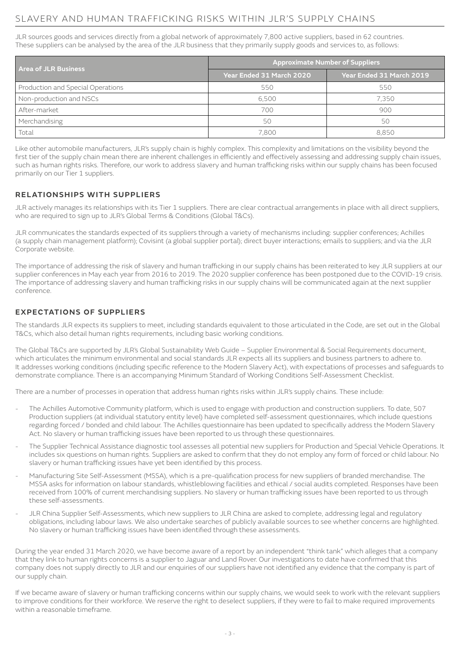# SLAVERY AND HUMAN TRAFFICKING RISKS WITHIN JLR'S SUPPLY CHAINS

JLR sources goods and services directly from a global network of approximately 7,800 active suppliers, based in 62 countries. These suppliers can be analysed by the area of the JLR business that they primarily supply goods and services to, as follows:

| <b>Area of JLR Business</b>       | <b>Approximate Number of Suppliers</b> |                          |  |  |
|-----------------------------------|----------------------------------------|--------------------------|--|--|
|                                   | Year Ended 31 March 2020               | Year Ended 31 March 2019 |  |  |
| Production and Special Operations | 550                                    | 550                      |  |  |
| Non-production and NSCs           | 6,500                                  | 7.350                    |  |  |
| After-market                      | 700                                    | 900                      |  |  |
| Merchandising                     | 50                                     | 50                       |  |  |
| Total                             | 7,800                                  | 8.850                    |  |  |

Like other automobile manufacturers, JLR's supply chain is highly complex. This complexity and limitations on the visibility beyond the first tier of the supply chain mean there are inherent challenges in efficiently and effectively assessing and addressing supply chain issues, such as human rights risks. Therefore, our work to address slavery and human trafficking risks within our supply chains has been focused primarily on our Tier 1 suppliers.

## **RELATIONSHIPS WITH SUPPLIERS**

JLR actively manages its relationships with its Tier 1 suppliers. There are clear contractual arrangements in place with all direct suppliers, who are required to sign up to JLR's Global Terms & Conditions (Global T&Cs).

JLR communicates the standards expected of its suppliers through a variety of mechanisms including: supplier conferences; Achilles (a supply chain management platform); Covisint (a global supplier portal); direct buyer interactions; emails to suppliers; and via the JLR Corporate website.

The importance of addressing the risk of slavery and human trafficking in our supply chains has been reiterated to key JLR suppliers at our supplier conferences in May each year from 2016 to 2019. The 2020 supplier conference has been postponed due to the COVID-19 crisis. The importance of addressing slavery and human trafficking risks in our supply chains will be communicated again at the next supplier conference.

## **EXPECTATIONS OF SUPPLIERS**

The standards JLR expects its suppliers to meet, including standards equivalent to those articulated in the Code, are set out in the Global T&Cs, which also detail human rights requirements, including basic working conditions.

The Global T&Cs are supported by JLR's Global Sustainability Web Guide – Supplier Environmental & Social Requirements document, which articulates the minimum environmental and social standards JLR expects all its suppliers and business partners to adhere to. It addresses working conditions (including specific reference to the Modern Slavery Act), with expectations of processes and safeguards to demonstrate compliance. There is an accompanying Minimum Standard of Working Conditions Self-Assessment Checklist.

There are a number of processes in operation that address human rights risks within JLR's supply chains. These include:

- The Achilles Automotive Community platform, which is used to engage with production and construction suppliers. To date, 507 Production suppliers (at individual statutory entity level) have completed self-assessment questionnaires, which include questions regarding forced / bonded and child labour. The Achilles questionnaire has been updated to specifically address the Modern Slavery Act. No slavery or human trafficking issues have been reported to us through these questionnaires.
- The Supplier Technical Assistance diagnostic tool assesses all potential new suppliers for Production and Special Vehicle Operations. It includes six questions on human rights. Suppliers are asked to confirm that they do not employ any form of forced or child labour. No slavery or human trafficking issues have yet been identified by this process.
- Manufacturing Site Self-Assessment (MSSA), which is a pre-qualification process for new suppliers of branded merchandise. The MSSA asks for information on labour standards, whistleblowing facilities and ethical / social audits completed. Responses have been received from 100% of current merchandising suppliers. No slavery or human trafficking issues have been reported to us through these self-assessments.
- JLR China Supplier Self-Assessments, which new suppliers to JLR China are asked to complete, addressing legal and regulatory obligations, including labour laws. We also undertake searches of publicly available sources to see whether concerns are highlighted. No slavery or human trafficking issues have been identified through these assessments.

During the year ended 31 March 2020, we have become aware of a report by an independent "think tank" which alleges that a company that they link to human rights concerns is a supplier to Jaguar and Land Rover. Our investigations to date have confirmed that this company does not supply directly to JLR and our enquiries of our suppliers have not identified any evidence that the company is part of our supply chain.

If we became aware of slavery or human trafficking concerns within our supply chains, we would seek to work with the relevant suppliers to improve conditions for their workforce. We reserve the right to deselect suppliers, if they were to fail to make required improvements within a reasonable timeframe.